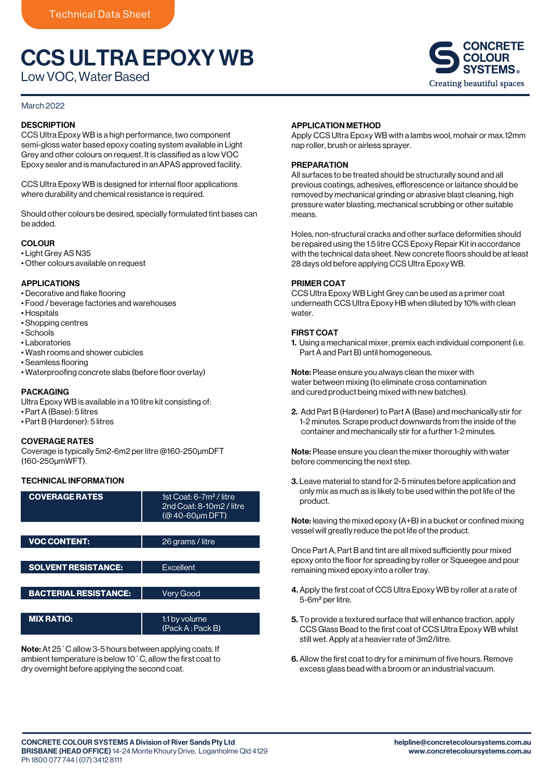# CCS ULTRA EPOXY WB

Low VOC, Water Based

## March 2022

## **DESCRIPTION**

CCS Ultra Epoxy WB is a high performance, two component semi-gloss water based epoxy coating system available in Light Grey and other colours on request. It is classified as a low VOC Epoxy sealer and is manufactured in an APAS approved facility.

CCS Ultra Epoxy WB is designed for internal floor applications where durability and chemical resistance is required.

Should other colours be desired, specially formulated tint bases can be added.

## **COLOUR**

- Light Grey AS N35
- Other colours available on request

#### APPLICATIONS

- Decorative and flake flooring
- Food / beverage factories and warehouses
- Hospitals
- Shopping centres
- Schools
- Laboratories
- Wash rooms and shower cubicles
- Seamless flooring
- Waterproofing concrete slabs (before floor overlay)

## PACKAGING

- Ultra Epoxy WB is available in a 10 litre kit consisting of:
- Part A (Base): 5 litres
- Part B (Hardener): 5 litres

#### COVERAGE RATES

Coverage is typically 5m2-6m2 per litre @160-250μmDFT (160-250μmWFT).

## TECHNICAL INFORMATION

| <b>COVERAGE RATES</b>        | 1st Coat: 6-7m <sup>2</sup> / litre<br>2nd Coat: 8-10m2 / litre<br>$(@ 40-60 \mu m$ DFT) |
|------------------------------|------------------------------------------------------------------------------------------|
|                              |                                                                                          |
| <b>VOC CONTENT:</b>          | 26 grams / litre                                                                         |
|                              |                                                                                          |
| <b>SOLVENT RESISTANCE:</b>   | Excellent                                                                                |
|                              |                                                                                          |
| <b>BACTERIAL RESISTANCE:</b> | <b>Very Good</b>                                                                         |
|                              |                                                                                          |
| <b>MIX RATIO:</b>            | 1:1 by volume<br>(Pack A: Pack B)                                                        |

**Note:** At 25  $^{\circ}$  C allow 3-5 hours between applying coats. If ambient temperature is below 10˚C, allow the first coat to dry overnight before applying the second coat. POT LIFE: 1 hour @ 25˚C

## APPLICATION METHOD

Apply CCS Ultra Epoxy WB with a lambs wool, mohair or max.12mm nap roller, brush or airless sprayer.

## **PREPARATION**

All surfaces to be treated should be structurally sound and all previous coatings, adhesives, efflorescence or laitance should be removed by mechanical grinding or abrasive blast cleaning, high pressure water blasting, mechanical scrubbing or other suitable means.

Holes, non-structural cracks and other surface deformities should be repaired using the 1.5 litre CCS Epoxy Repair Kit in accordance with the technical data sheet. New concrete floors should be at least 28 days old before applying CCS Ultra Epoxy WB.

#### PRIMER COAT

CCS Ultra Epoxy WB Light Grey can be used as a primer coat underneath CCS Ultra Epoxy HB when diluted by 10% with clean water.

#### FIRST COAT

1. Using a mechanical mixer, premix each individual component (i.e. Part A and Part B) until homogeneous.

Note: Please ensure you always clean the mixer with water between mixing (to eliminate cross contamination and cured product being mixed with new batches).

2. Add Part B (Hardener) to Part A (Base) and mechanically stir for 1-2 minutes. Scrape product downwards from the inside of the container and mechanically stir for a further 1-2 minutes.

Note: Please ensure you clean the mixer thoroughly with water before commencing the next step.

3. Leave material to stand for 2-5 minutes before application and only mix as much as is likely to be used within the pot life of the product.

Note: leaving the mixed epoxy (A+B) in a bucket or confined mixing vessel will greatly reduce the pot life of the product.

Once Part A, Part B and tint are all mixed sufficiently pour mixed epoxy onto the floor for spreading by roller or Squeegee and pour remaining mixed epoxy into a roller tray.

- 4. Apply the first coat of CCS Ultra Epoxy WB by roller at a rate of 5-6m2 per litre.
- 5. To provide a textured surface that will enhance traction, apply CCS Glass Bead to the first coat of CCS Ultra Epoxy WB whilst still wet. Apply at a heavier rate of 3m2/litre.
- 6. Allow the first coat to dry for a minimum of five hours. Remove excess glass bead with a broom or an industrial vacuum.